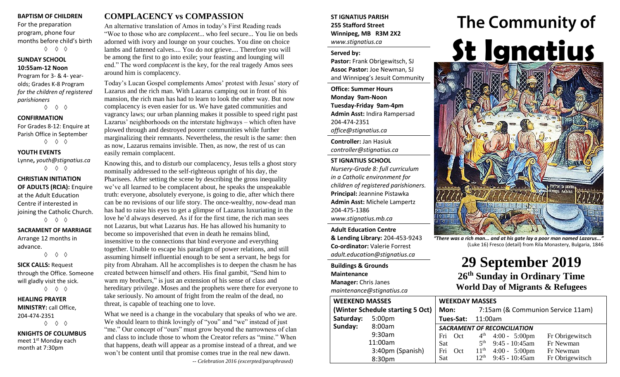#### **BAPTISM OF CHILDREN**

For the preparation program, phone four months before child's birth ◊ ◊ ◊

**SUNDAY SCHOOL 10:55am-12 Noon**

Program for 3- & 4- yearolds; Grades K-8 Program *for the children of registered parishioners*

◊ ◊ ◊

### **CONFIRMATION**

For Grades 8-12: Enquire at Parish Office in September ◊ ◊ ◊

**YOUTH EVENTS**

Lynne**,** *youth@stignatius.ca* ◊ ◊ ◊

**CHRISTIAN INITIATION OF ADULTS (RCIA):** Enquire at the Adult Education Centre if interested in joining the Catholic Church. ◊ ◊ ◊

**SACRAMENT OF MARRIAGE** Arrange 12 months in advance.

◊ ◊ ◊ **SICK CALLS:** Request

through the Office. Someone will gladly visit the sick. ◊ ◊ ◊

**HEALING PRAYER MINISTRY:** call Office, 204-474-2351 ◊ ◊ ◊

**KNIGHTS OF COLUMBUS** meet 1<sup>st</sup> Monday each month at 7:30pm

## **COMPLACENCY vs COMPASSION**

An alternative translation of Amos in today's First Reading reads "Woe to those who are *complacent*... who feel secure... You lie on beds adorned with ivory and lounge on your couches. You dine on choice lambs and fattened calves.... You do not grieve.... Therefore you will be among the first to go into exile; your feasting and lounging will end." The word *complacent* is the key, for the real tragedy Amos sees around him is complacency.

Today's Lucan Gospel complements Amos' protest with Jesus' story of Lazarus and the rich man. With Lazarus camping out in front of his mansion, the rich man has had to learn to look the other way. But now complacency is even easier for us. We have gated communities and vagrancy laws; our urban planning makes it possible to speed right past Lazarus' neighborhoods on the interstate highways – which often have plowed through and destroyed poorer communities while further marginalizing their remnants. Nevertheless, the result is the same: then as now, Lazarus remains invisible. Then, as now, the rest of us can easily remain complacent.

Knowing this, and to disturb our complacency, Jesus tells a ghost story nominally addressed to the self-righteous upright of his day, the Pharisees. After setting the scene by describing the gross inequality we've all learned to be complacent about, he speaks the unspeakable truth: everyone, absolutely everyone, is going to die, after which there can be no revisions of our life story. The once-wealthy, now-dead man has had to raise his eyes to get a glimpse of Lazarus luxuriating in the love he'd always deserved. As if for the first time, the rich man sees not Lazarus, but what Lazarus *has*. He has allowed his humanity to become so impoverished that even in death he remains blind, insensitive to the connections that bind everyone and everything together. Unable to escape his paradigm of power relations, and still assuming himself influential enough to be sent a servant, he begs for pity from Abraham. All he accomplishes is to deepen the chasm he has created between himself and others. His final gambit, "Send him to warn my brothers," is just an extension of his sense of class and hereditary privilege. Moses and the prophets were there for everyone to take seriously. No amount of fright from the realm of the dead, no threat, is capable of teaching one to love.

What we need is a change in the vocabulary that speaks of who we are. We should learn to think lovingly of "you" and "we" instead of just "me." Our concept of "ours" must grow beyond the narrowness of clan and class to include those to whom the Creator refers as "mine." When that happens, death will appear as a promise instead of a threat, and we won't be content until that promise comes true in the real new dawn. -- *Celebration 2016 (excerpted/paraphrased)*

### **ST IGNATIUS PARISH 255 Stafford Street Winnipeg, MB R3M 2X2** *www.stignatius.ca*

#### **Served by:**

**Pastor:** Frank Obrigewitsch, SJ **Assoc Pastor:** Joe Newman, SJ and Winnipeg's Jesuit Community

**Office: Summer Hours Monday 9am-Noon Tuesday-Friday 9am-4pm Admin Asst:** Indira Rampersad 204-474-2351 *office@stignatius.ca*

**Controller:** Jan Hasiuk *controller@stignatius.ca*

#### **ST IGNATIUS SCHOOL**

*Nursery-Grade 8: full curriculum in a Catholic environment for children of registered parishioners.* **Principal:** Jeannine Pistawka **Admin Asst:** Michele Lampertz 204-475-1386 *www.stignatius.mb.ca*

**Adult Education Centre & Lending Library:** 204-453-9243 **Co-ordinator:** Valerie Forrest *adult.education@stignatius.ca*

**Buildings & Grounds Maintenance Manager:** Chris Janes *maintenance@stignatius.ca*

**World Day of Migrants & Refugees WEEKEND MASSES (Winter Schedule starting 5 Oct) Saturday:** 5:00pm **Sunday:** 8:00am 9:30am 11:00am 3:40pm (Spanish) 8:30pm **WEEKDAY MASSES Mon:** 7:15am (& Communion Service 11am) **Tues-Sat:** 11:00am *SACRAMENT OF RECONCILIATION* Fri Oct  $4<sup>th</sup>$ 4:00 - 5:00pm Fr Obrigewitsch Sat  $5^{\text{th}}$ <br>Fri Oct  $11^{\text{th}}$ 9:45 - 10:45am Fr Newman Fri Oct  $11<sup>th</sup>$  4:00 - 5:00pm Fr Newman Sat  $12<sup>th</sup>$  9:45 - 10:45am Fr Obrigewitsch



*"There was a rich man... and at his gate lay a poor man named Lazarus..."* (Luke 16) Fresco (detail) from Rila Monastery, Bulgaria, 1846

> **29 September 2019 26 th Sunday in Ordinary Time**